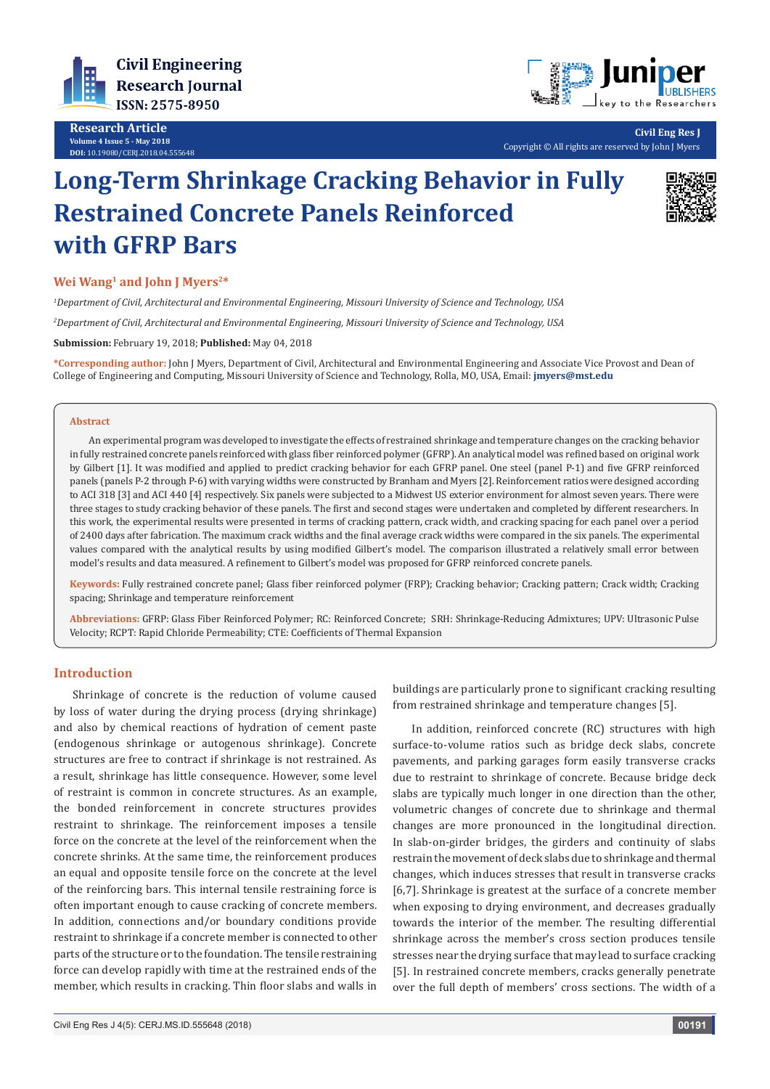

**Research Article Volume 4 Issue 5 - May 2018 DOI:** [10.19080/CERJ.2018.04.55564](http://dx.doi.org/10.19080/CERJ.2018.04.555648)8



**Civil Eng Res J** Copyright © All rights are reserved by John J Myers

# **Long-Term Shrinkage Cracking Behavior in Fully Restrained Concrete Panels Reinforced with GFRP Bars**



# **Wei Wang1 and John J Myers2\***

*1 Department of Civil, Architectural and Environmental Engineering, Missouri University of Science and Technology, USA*

*2 Department of Civil, Architectural and Environmental Engineering, Missouri University of Science and Technology, USA*

**Submission:** February 19, 2018; **Published:** May 04, 2018

**\*Corresponding author:** John J Myers, Department of Civil, Architectural and Environmental Engineering and Associate Vice Provost and Dean of College of Engineering and Computing, Missouri University of Science and Technology, Rolla, MO, USA, Email: **jmyers@mst.edu**

#### **Abstract**

An experimental program was developed to investigate the effects of restrained shrinkage and temperature changes on the cracking behavior in fully restrained concrete panels reinforced with glass fiber reinforced polymer (GFRP). An analytical model was refined based on original work by Gilbert [1]. It was modified and applied to predict cracking behavior for each GFRP panel. One steel (panel P-1) and five GFRP reinforced panels (panels P-2 through P-6) with varying widths were constructed by Branham and Myers [2]. Reinforcement ratios were designed according to ACI 318 [3] and ACI 440 [4] respectively. Six panels were subjected to a Midwest US exterior environment for almost seven years. There were three stages to study cracking behavior of these panels. The first and second stages were undertaken and completed by different researchers. In this work, the experimental results were presented in terms of cracking pattern, crack width, and cracking spacing for each panel over a period of 2400 days after fabrication. The maximum crack widths and the final average crack widths were compared in the six panels. The experimental values compared with the analytical results by using modified Gilbert's model. The comparison illustrated a relatively small error between model's results and data measured. A refinement to Gilbert's model was proposed for GFRP reinforced concrete panels.

**Keywords:** Fully restrained concrete panel; Glass fiber reinforced polymer (FRP); Cracking behavior; Cracking pattern; Crack width; Cracking spacing; Shrinkage and temperature reinforcement

**Abbreviations:** GFRP: Glass Fiber Reinforced Polymer; RC: Reinforced Concrete; SRH: Shrinkage-Reducing Admixtures; UPV: Ultrasonic Pulse Velocity; RCPT: Rapid Chloride Permeability; CTE: Coefficients of Thermal Expansion

# **Introduction**

Shrinkage of concrete is the reduction of volume caused by loss of water during the drying process (drying shrinkage) and also by chemical reactions of hydration of cement paste (endogenous shrinkage or autogenous shrinkage). Concrete structures are free to contract if shrinkage is not restrained. As a result, shrinkage has little consequence. However, some level of restraint is common in concrete structures. As an example, the bonded reinforcement in concrete structures provides restraint to shrinkage. The reinforcement imposes a tensile force on the concrete at the level of the reinforcement when the concrete shrinks. At the same time, the reinforcement produces an equal and opposite tensile force on the concrete at the level of the reinforcing bars. This internal tensile restraining force is often important enough to cause cracking of concrete members. In addition, connections and/or boundary conditions provide restraint to shrinkage if a concrete member is connected to other parts of the structure or to the foundation. The tensile restraining force can develop rapidly with time at the restrained ends of the member, which results in cracking. Thin floor slabs and walls in

changes are more pronounced in the longitudinal direction. In slab-on-girder bridges, the girders and continuity of slabs

restrain the movement of deck slabs due to shrinkage and thermal changes, which induces stresses that result in transverse cracks [6,7]. Shrinkage is greatest at the surface of a concrete member when exposing to drying environment, and decreases gradually towards the interior of the member. The resulting differential shrinkage across the member's cross section produces tensile stresses near the drying surface that may lead to surface cracking [5]. In restrained concrete members, cracks generally penetrate over the full depth of members' cross sections. The width of a

buildings are particularly prone to significant cracking resulting from restrained shrinkage and temperature changes [5].

In addition, reinforced concrete (RC) structures with high surface-to-volume ratios such as bridge deck slabs, concrete pavements, and parking garages form easily transverse cracks due to restraint to shrinkage of concrete. Because bridge deck slabs are typically much longer in one direction than the other, volumetric changes of concrete due to shrinkage and thermal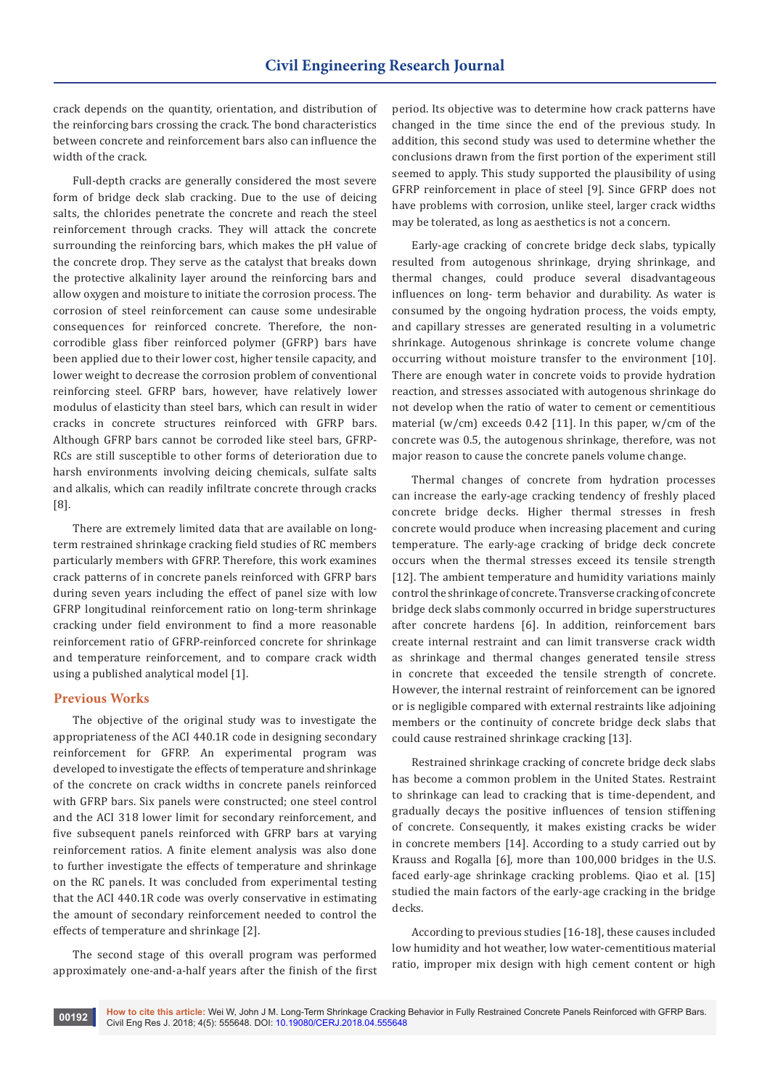crack depends on the quantity, orientation, and distribution of the reinforcing bars crossing the crack. The bond characteristics between concrete and reinforcement bars also can influence the width of the crack.

Full-depth cracks are generally considered the most severe form of bridge deck slab cracking. Due to the use of deicing salts, the chlorides penetrate the concrete and reach the steel reinforcement through cracks. They will attack the concrete surrounding the reinforcing bars, which makes the pH value of the concrete drop. They serve as the catalyst that breaks down the protective alkalinity layer around the reinforcing bars and allow oxygen and moisture to initiate the corrosion process. The corrosion of steel reinforcement can cause some undesirable consequences for reinforced concrete. Therefore, the noncorrodible glass fiber reinforced polymer (GFRP) bars have been applied due to their lower cost, higher tensile capacity, and lower weight to decrease the corrosion problem of conventional reinforcing steel. GFRP bars, however, have relatively lower modulus of elasticity than steel bars, which can result in wider cracks in concrete structures reinforced with GFRP bars. Although GFRP bars cannot be corroded like steel bars, GFRP-RCs are still susceptible to other forms of deterioration due to harsh environments involving deicing chemicals, sulfate salts and alkalis, which can readily infiltrate concrete through cracks [8].

There are extremely limited data that are available on longterm restrained shrinkage cracking field studies of RC members particularly members with GFRP. Therefore, this work examines crack patterns of in concrete panels reinforced with GFRP bars during seven years including the effect of panel size with low GFRP longitudinal reinforcement ratio on long-term shrinkage cracking under field environment to find a more reasonable reinforcement ratio of GFRP-reinforced concrete for shrinkage and temperature reinforcement, and to compare crack width using a published analytical model [1].

## **Previous Works**

The objective of the original study was to investigate the appropriateness of the ACI 440.1R code in designing secondary reinforcement for GFRP. An experimental program was developed to investigate the effects of temperature and shrinkage of the concrete on crack widths in concrete panels reinforced with GFRP bars. Six panels were constructed; one steel control and the ACI 318 lower limit for secondary reinforcement, and five subsequent panels reinforced with GFRP bars at varying reinforcement ratios. A finite element analysis was also done to further investigate the effects of temperature and shrinkage on the RC panels. It was concluded from experimental testing that the ACI 440.1R code was overly conservative in estimating the amount of secondary reinforcement needed to control the effects of temperature and shrinkage [2].

The second stage of this overall program was performed approximately one-and-a-half years after the finish of the first period. Its objective was to determine how crack patterns have changed in the time since the end of the previous study. In addition, this second study was used to determine whether the conclusions drawn from the first portion of the experiment still seemed to apply. This study supported the plausibility of using GFRP reinforcement in place of steel [9]. Since GFRP does not have problems with corrosion, unlike steel, larger crack widths may be tolerated, as long as aesthetics is not a concern.

Early-age cracking of concrete bridge deck slabs, typically resulted from autogenous shrinkage, drying shrinkage, and thermal changes, could produce several disadvantageous influences on long- term behavior and durability. As water is consumed by the ongoing hydration process, the voids empty, and capillary stresses are generated resulting in a volumetric shrinkage. Autogenous shrinkage is concrete volume change occurring without moisture transfer to the environment [10]. There are enough water in concrete voids to provide hydration reaction, and stresses associated with autogenous shrinkage do not develop when the ratio of water to cement or cementitious material (w/cm) exceeds 0.42 [11]. In this paper, w/cm of the concrete was 0.5, the autogenous shrinkage, therefore, was not major reason to cause the concrete panels volume change.

Thermal changes of concrete from hydration processes can increase the early-age cracking tendency of freshly placed concrete bridge decks. Higher thermal stresses in fresh concrete would produce when increasing placement and curing temperature. The early-age cracking of bridge deck concrete occurs when the thermal stresses exceed its tensile strength [12]. The ambient temperature and humidity variations mainly control the shrinkage of concrete. Transverse cracking of concrete bridge deck slabs commonly occurred in bridge superstructures after concrete hardens [6]. In addition, reinforcement bars create internal restraint and can limit transverse crack width as shrinkage and thermal changes generated tensile stress in concrete that exceeded the tensile strength of concrete. However, the internal restraint of reinforcement can be ignored or is negligible compared with external restraints like adjoining members or the continuity of concrete bridge deck slabs that could cause restrained shrinkage cracking [13].

Restrained shrinkage cracking of concrete bridge deck slabs has become a common problem in the United States. Restraint to shrinkage can lead to cracking that is time-dependent, and gradually decays the positive influences of tension stiffening of concrete. Consequently, it makes existing cracks be wider in concrete members [14]. According to a study carried out by Krauss and Rogalla [6], more than 100,000 bridges in the U.S. faced early-age shrinkage cracking problems. Qiao et al. [15] studied the main factors of the early-age cracking in the bridge decks.

According to previous studies [16-18], these causes included low humidity and hot weather, low water-cementitious material ratio, improper mix design with high cement content or high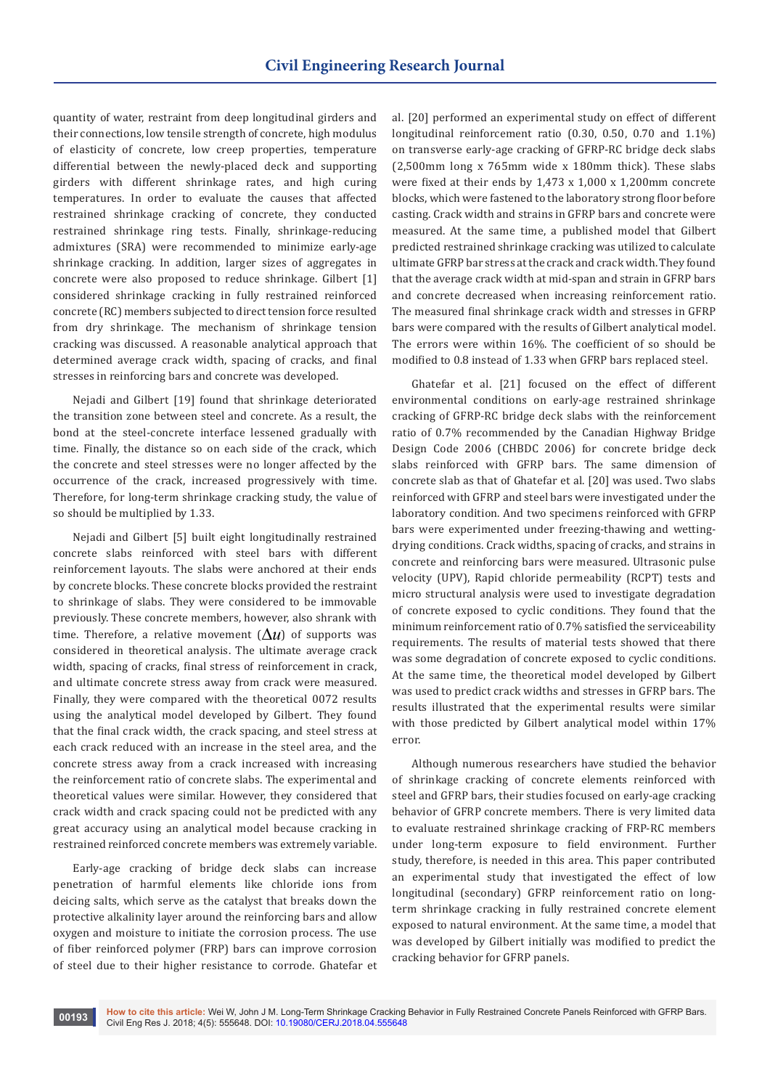quantity of water, restraint from deep longitudinal girders and their connections, low tensile strength of concrete, high modulus of elasticity of concrete, low creep properties, temperature differential between the newly-placed deck and supporting girders with different shrinkage rates, and high curing temperatures. In order to evaluate the causes that affected restrained shrinkage cracking of concrete, they conducted restrained shrinkage ring tests. Finally, shrinkage-reducing admixtures (SRA) were recommended to minimize early-age shrinkage cracking. In addition, larger sizes of aggregates in concrete were also proposed to reduce shrinkage. Gilbert [1] considered shrinkage cracking in fully restrained reinforced concrete (RC) members subjected to direct tension force resulted from dry shrinkage. The mechanism of shrinkage tension cracking was discussed. A reasonable analytical approach that determined average crack width, spacing of cracks, and final stresses in reinforcing bars and concrete was developed.

Nejadi and Gilbert [19] found that shrinkage deteriorated the transition zone between steel and concrete. As a result, the bond at the steel-concrete interface lessened gradually with time. Finally, the distance so on each side of the crack, which the concrete and steel stresses were no longer affected by the occurrence of the crack, increased progressively with time. Therefore, for long-term shrinkage cracking study, the value of so should be multiplied by 1.33.

Nejadi and Gilbert [5] built eight longitudinally restrained concrete slabs reinforced with steel bars with different reinforcement layouts. The slabs were anchored at their ends by concrete blocks. These concrete blocks provided the restraint to shrinkage of slabs. They were considered to be immovable previously. These concrete members, however, also shrank with time. Therefore, a relative movement  $(\Delta u)$  of supports was considered in theoretical analysis. The ultimate average crack width, spacing of cracks, final stress of reinforcement in crack, and ultimate concrete stress away from crack were measured. Finally, they were compared with the theoretical 0072 results using the analytical model developed by Gilbert. They found that the final crack width, the crack spacing, and steel stress at each crack reduced with an increase in the steel area, and the concrete stress away from a crack increased with increasing the reinforcement ratio of concrete slabs. The experimental and theoretical values were similar. However, they considered that crack width and crack spacing could not be predicted with any great accuracy using an analytical model because cracking in restrained reinforced concrete members was extremely variable.

Early-age cracking of bridge deck slabs can increase penetration of harmful elements like chloride ions from deicing salts, which serve as the catalyst that breaks down the protective alkalinity layer around the reinforcing bars and allow oxygen and moisture to initiate the corrosion process. The use of fiber reinforced polymer (FRP) bars can improve corrosion of steel due to their higher resistance to corrode. Ghatefar et al. [20] performed an experimental study on effect of different longitudinal reinforcement ratio (0.30, 0.50, 0.70 and 1.1%) on transverse early-age cracking of GFRP-RC bridge deck slabs (2,500mm long x 765mm wide x 180mm thick). These slabs were fixed at their ends by 1,473 x 1,000 x 1,200mm concrete blocks, which were fastened to the laboratory strong floor before casting. Crack width and strains in GFRP bars and concrete were measured. At the same time, a published model that Gilbert predicted restrained shrinkage cracking was utilized to calculate ultimate GFRP bar stress at the crack and crack width. They found that the average crack width at mid-span and strain in GFRP bars and concrete decreased when increasing reinforcement ratio. The measured final shrinkage crack width and stresses in GFRP bars were compared with the results of Gilbert analytical model. The errors were within 16%. The coefficient of so should be modified to 0.8 instead of 1.33 when GFRP bars replaced steel.

Ghatefar et al. [21] focused on the effect of different environmental conditions on early-age restrained shrinkage cracking of GFRP-RC bridge deck slabs with the reinforcement ratio of 0.7% recommended by the Canadian Highway Bridge Design Code 2006 (CHBDC 2006) for concrete bridge deck slabs reinforced with GFRP bars. The same dimension of concrete slab as that of Ghatefar et al. [20] was used. Two slabs reinforced with GFRP and steel bars were investigated under the laboratory condition. And two specimens reinforced with GFRP bars were experimented under freezing-thawing and wettingdrying conditions. Crack widths, spacing of cracks, and strains in concrete and reinforcing bars were measured. Ultrasonic pulse velocity (UPV), Rapid chloride permeability (RCPT) tests and micro structural analysis were used to investigate degradation of concrete exposed to cyclic conditions. They found that the minimum reinforcement ratio of 0.7% satisfied the serviceability requirements. The results of material tests showed that there was some degradation of concrete exposed to cyclic conditions. At the same time, the theoretical model developed by Gilbert was used to predict crack widths and stresses in GFRP bars. The results illustrated that the experimental results were similar with those predicted by Gilbert analytical model within 17% error.

Although numerous researchers have studied the behavior of shrinkage cracking of concrete elements reinforced with steel and GFRP bars, their studies focused on early-age cracking behavior of GFRP concrete members. There is very limited data to evaluate restrained shrinkage cracking of FRP-RC members under long-term exposure to field environment. Further study, therefore, is needed in this area. This paper contributed an experimental study that investigated the effect of low longitudinal (secondary) GFRP reinforcement ratio on longterm shrinkage cracking in fully restrained concrete element exposed to natural environment. At the same time, a model that was developed by Gilbert initially was modified to predict the cracking behavior for GFRP panels.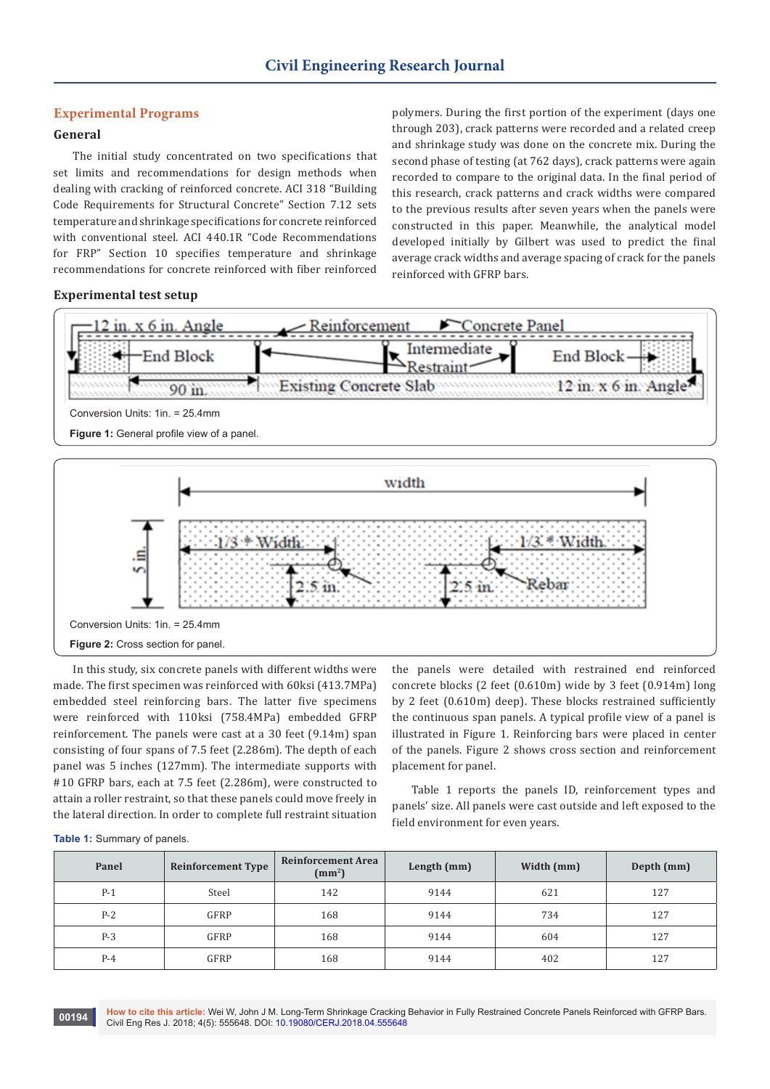# **Experimental Programs**

# **General**

The initial study concentrated on two specifications that set limits and recommendations for design methods when dealing with cracking of reinforced concrete. ACI 318 "Building Code Requirements for Structural Concrete" Section 7.12 sets temperature and shrinkage specifications for concrete reinforced with conventional steel. ACI 440.1R "Code Recommendations for FRP" Section 10 specifies temperature and shrinkage recommendations for concrete reinforced with fiber reinforced

polymers. During the first portion of the experiment (days one through 203), crack patterns were recorded and a related creep and shrinkage study was done on the concrete mix. During the second phase of testing (at 762 days), crack patterns were again recorded to compare to the original data. In the final period of this research, crack patterns and crack widths were compared to the previous results after seven years when the panels were constructed in this paper. Meanwhile, the analytical model developed initially by Gilbert was used to predict the final average crack widths and average spacing of crack for the panels reinforced with GFRP bars.

#### **Experimental test setup**



In this study, six concrete panels with different widths were made. The first specimen was reinforced with 60ksi (413.7MPa) embedded steel reinforcing bars. The latter five specimens were reinforced with 110ksi (758.4MPa) embedded GFRP reinforcement. The panels were cast at a 30 feet (9.14m) span consisting of four spans of 7.5 feet (2.286m). The depth of each panel was 5 inches (127mm). The intermediate supports with #10 GFRP bars, each at 7.5 feet (2.286m), were constructed to attain a roller restraint, so that these panels could move freely in the lateral direction. In order to complete full restraint situation

the panels were detailed with restrained end reinforced concrete blocks (2 feet (0.610m) wide by 3 feet (0.914m) long by 2 feet (0.610m) deep). These blocks restrained sufficiently the continuous span panels. A typical profile view of a panel is illustrated in Figure 1. Reinforcing bars were placed in center of the panels. Figure 2 shows cross section and reinforcement placement for panel.

Table 1 reports the panels ID, reinforcement types and panels' size. All panels were cast outside and left exposed to the field environment for even years.

| Table 1: Summary of panels. |  |
|-----------------------------|--|
|-----------------------------|--|

| Panel | <b>Reinforcement Type</b> | <b>Reinforcement Area</b><br>(mm <sup>2</sup> ) | Length (mm) | Width (mm) | Depth (mm) |
|-------|---------------------------|-------------------------------------------------|-------------|------------|------------|
| $P-1$ | Steel                     | 142                                             | 9144        | 621        | 127        |
| $P-2$ | <b>GFRP</b>               | 168                                             | 9144        | 734        | 127        |
| $P-3$ | GFRP                      | 168                                             | 9144        | 604        | 127        |
| $P-4$ | <b>GFRP</b>               | 168                                             | 9144        | 402        | 127        |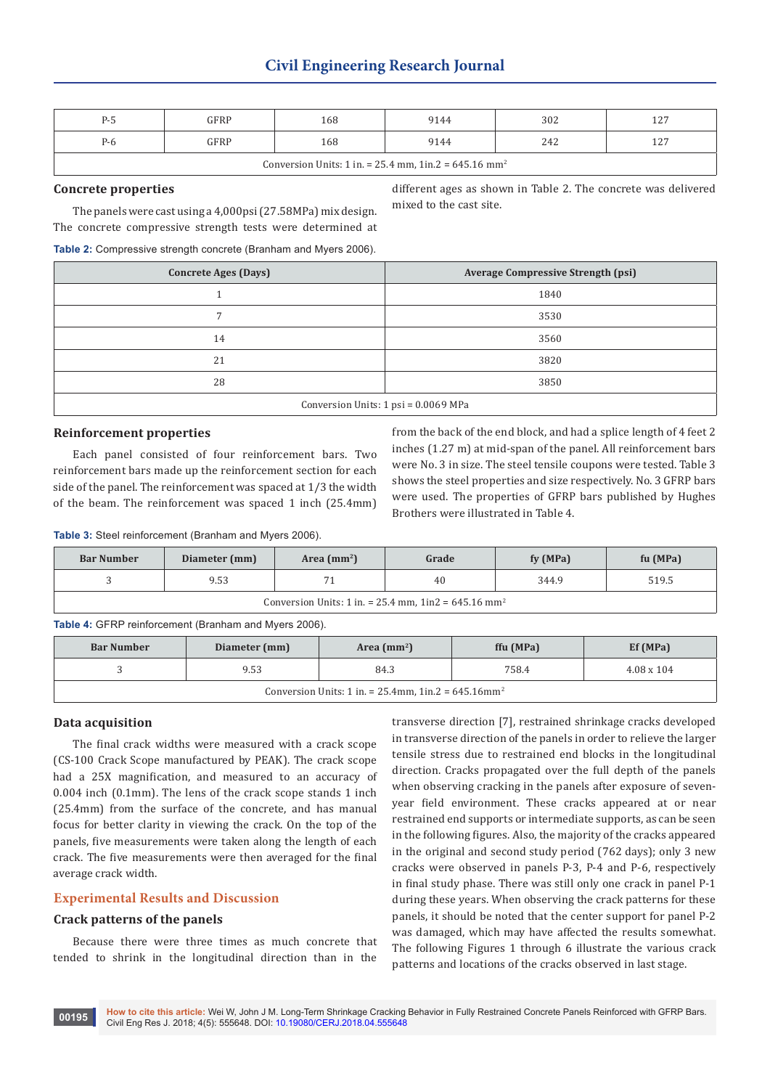| $P-5$                                                                | GFRP | 168 | 9144 | 302 | 127 |  |
|----------------------------------------------------------------------|------|-----|------|-----|-----|--|
| $P-6$                                                                | GFRP | 168 | 9144 | 242 | 127 |  |
| Conversion Units: 1 in. = 25.4 mm, 1in. $2 = 645.16$ mm <sup>2</sup> |      |     |      |     |     |  |

## **Concrete properties**

The panels were cast using a 4,000psi (27.58MPa) mix design. The concrete compressive strength tests were determined at

different ages as shown in Table 2. The concrete was delivered mixed to the cast site.

#### **Table 2:** Compressive strength concrete (Branham and Myers 2006).

| <b>Concrete Ages (Days)</b>          | <b>Average Compressive Strength (psi)</b> |  |  |  |
|--------------------------------------|-------------------------------------------|--|--|--|
|                                      | 1840                                      |  |  |  |
| $\overline{7}$                       | 3530                                      |  |  |  |
| 14                                   | 3560                                      |  |  |  |
| 21                                   | 3820                                      |  |  |  |
| 28                                   | 3850                                      |  |  |  |
| Conversion Units: 1 psi = 0.0069 MPa |                                           |  |  |  |

#### **Reinforcement properties**

Each panel consisted of four reinforcement bars. Two reinforcement bars made up the reinforcement section for each side of the panel. The reinforcement was spaced at 1/3 the width of the beam. The reinforcement was spaced 1 inch (25.4mm)

from the back of the end block, and had a splice length of 4 feet 2 inches (1.27 m) at mid-span of the panel. All reinforcement bars were No. 3 in size. The steel tensile coupons were tested. Table 3 shows the steel properties and size respectively. No. 3 GFRP bars were used. The properties of GFRP bars published by Hughes Brothers were illustrated in Table 4.

**Table 3:** Steel reinforcement (Branham and Myers 2006).

| <b>Bar Number</b>                                                  | Diameter (mm) | Area $(mm2)$<br>Grade |    | fy (MPa) | fu (MPa) |  |  |
|--------------------------------------------------------------------|---------------|-----------------------|----|----------|----------|--|--|
|                                                                    | 9.53          |                       | 40 | 344.9    | 519.5    |  |  |
| Conversion Units: 1 in. = 25.4 mm, $1in2 = 645.16$ mm <sup>2</sup> |               |                       |    |          |          |  |  |

**Table 4:** GFRP reinforcement (Branham and Myers 2006).

| <b>Bar Number</b>                                                      | Diameter (mm) | Area $(mm2)$ | ffu (MPa) | Ef(MPa)           |  |  |
|------------------------------------------------------------------------|---------------|--------------|-----------|-------------------|--|--|
|                                                                        | 9.53          | 84.3         | 758.4     | $4.08 \times 104$ |  |  |
| Conversion Units: 1 in. = $25.4$ mm, 1in. $2 = 645.16$ mm <sup>2</sup> |               |              |           |                   |  |  |

#### **Data acquisition**

The final crack widths were measured with a crack scope (CS-100 Crack Scope manufactured by PEAK). The crack scope had a 25X magnification, and measured to an accuracy of 0.004 inch (0.1mm). The lens of the crack scope stands 1 inch (25.4mm) from the surface of the concrete, and has manual focus for better clarity in viewing the crack. On the top of the panels, five measurements were taken along the length of each crack. The five measurements were then averaged for the final average crack width.

# **Experimental Results and Discussion**

## **Crack patterns of the panels**

Because there were three times as much concrete that tended to shrink in the longitudinal direction than in the

transverse direction [7], restrained shrinkage cracks developed in transverse direction of the panels in order to relieve the larger tensile stress due to restrained end blocks in the longitudinal direction. Cracks propagated over the full depth of the panels when observing cracking in the panels after exposure of sevenyear field environment. These cracks appeared at or near restrained end supports or intermediate supports, as can be seen in the following figures. Also, the majority of the cracks appeared in the original and second study period (762 days); only 3 new cracks were observed in panels P-3, P-4 and P-6, respectively in final study phase. There was still only one crack in panel P-1 during these years. When observing the crack patterns for these panels, it should be noted that the center support for panel P-2 was damaged, which may have affected the results somewhat. The following Figures 1 through 6 illustrate the various crack patterns and locations of the cracks observed in last stage.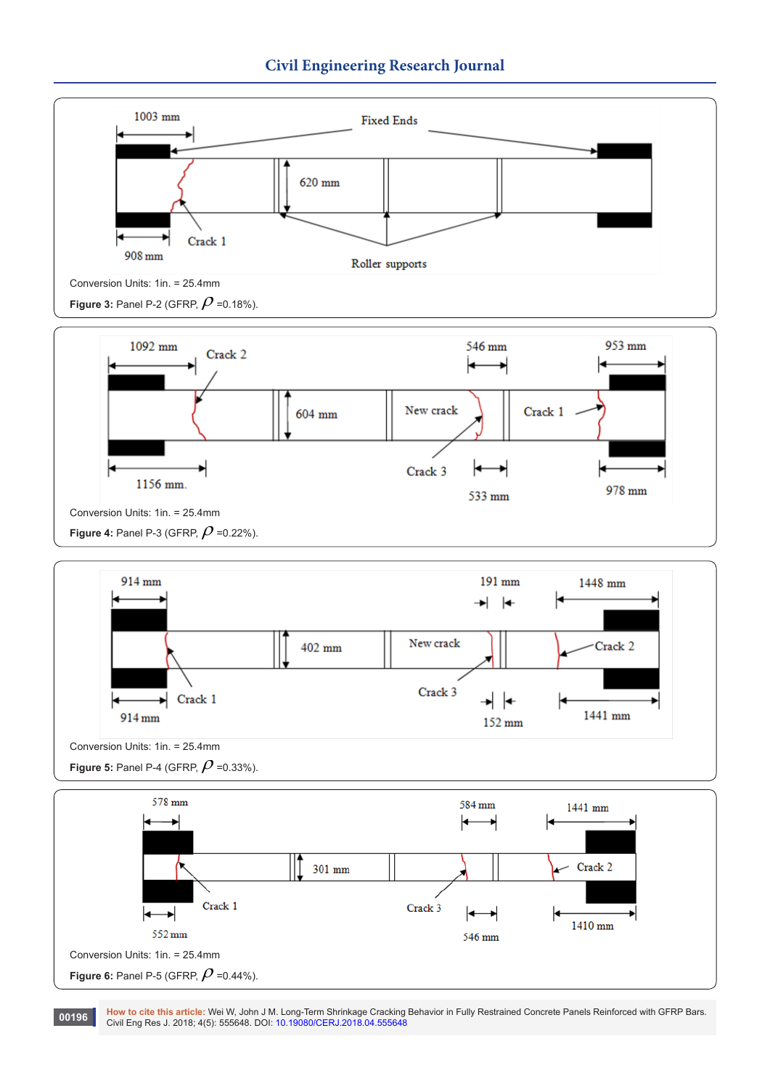



1991) How to cite this article: Wei W, John J M. Long-Term Shrinkage Cracking Behavior in Fully Restrained Concrete Panels Reinforced with GFRP Bars.<br>Civil Eng Res J. 2018; 4(5): 555648. DOI: [10.19080/CERJ.2018.04.55564](http://dx.doi.org/10.19080/CERJ.2018.04.555648)8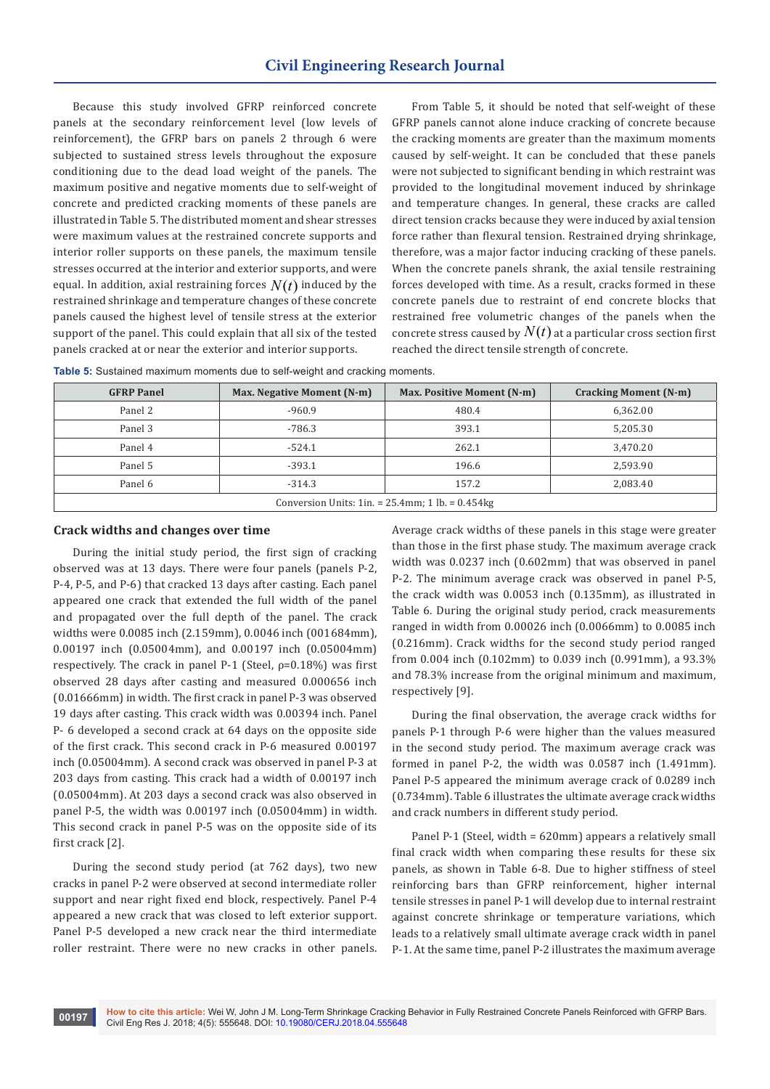Because this study involved GFRP reinforced concrete panels at the secondary reinforcement level (low levels of reinforcement), the GFRP bars on panels 2 through 6 were subjected to sustained stress levels throughout the exposure conditioning due to the dead load weight of the panels. The maximum positive and negative moments due to self-weight of concrete and predicted cracking moments of these panels are illustrated in Table 5. The distributed moment and shear stresses were maximum values at the restrained concrete supports and interior roller supports on these panels, the maximum tensile stresses occurred at the interior and exterior supports, and were equal. In addition, axial restraining forces  $N(t)$  induced by the restrained shrinkage and temperature changes of these concrete panels caused the highest level of tensile stress at the exterior support of the panel. This could explain that all six of the tested panels cracked at or near the exterior and interior supports.

From Table 5, it should be noted that self-weight of these GFRP panels cannot alone induce cracking of concrete because the cracking moments are greater than the maximum moments caused by self-weight. It can be concluded that these panels were not subjected to significant bending in which restraint was provided to the longitudinal movement induced by shrinkage and temperature changes. In general, these cracks are called direct tension cracks because they were induced by axial tension force rather than flexural tension. Restrained drying shrinkage, therefore, was a major factor inducing cracking of these panels. When the concrete panels shrank, the axial tensile restraining forces developed with time. As a result, cracks formed in these concrete panels due to restraint of end concrete blocks that restrained free volumetric changes of the panels when the concrete stress caused by  $N(t)$  at a particular cross section first reached the direct tensile strength of concrete.

| <b>GFRP Panel</b>                                      | Max. Negative Moment (N-m) | Max. Positive Moment (N-m) | <b>Cracking Moment (N-m)</b> |  |  |  |
|--------------------------------------------------------|----------------------------|----------------------------|------------------------------|--|--|--|
| Panel 2                                                | $-960.9$                   | 480.4                      | 6,362.00                     |  |  |  |
| Panel 3                                                | $-786.3$                   | 393.1                      | 5,205.30                     |  |  |  |
| Panel 4                                                | $-524.1$                   | 262.1                      | 3,470.20                     |  |  |  |
| Panel 5                                                | $-393.1$                   | 196.6                      | 2,593.90                     |  |  |  |
| Panel 6                                                | $-314.3$                   | 157.2                      | 2,083.40                     |  |  |  |
| Conversion Units: 1in. = $25.4$ mm; 1 lb. = $0.454$ kg |                            |                            |                              |  |  |  |

**Table 5:** Sustained maximum moments due to self-weight and cracking moments.

## **Crack widths and changes over time**

During the initial study period, the first sign of cracking observed was at 13 days. There were four panels (panels P-2, P-4, P-5, and P-6) that cracked 13 days after casting. Each panel appeared one crack that extended the full width of the panel and propagated over the full depth of the panel. The crack widths were 0.0085 inch (2.159mm), 0.0046 inch (001684mm), 0.00197 inch (0.05004mm), and 0.00197 inch (0.05004mm) respectively. The crack in panel P-1 (Steel,  $\rho$ =0.18%) was first observed 28 days after casting and measured 0.000656 inch (0.01666mm) in width. The first crack in panel P-3 was observed 19 days after casting. This crack width was 0.00394 inch. Panel P- 6 developed a second crack at 64 days on the opposite side of the first crack. This second crack in P-6 measured 0.00197 inch (0.05004mm). A second crack was observed in panel P-3 at 203 days from casting. This crack had a width of 0.00197 inch (0.05004mm). At 203 days a second crack was also observed in panel P-5, the width was 0.00197 inch (0.05004mm) in width. This second crack in panel P-5 was on the opposite side of its first crack [2].

During the second study period (at 762 days), two new cracks in panel P-2 were observed at second intermediate roller support and near right fixed end block, respectively. Panel P-4 appeared a new crack that was closed to left exterior support. Panel P-5 developed a new crack near the third intermediate roller restraint. There were no new cracks in other panels.

Average crack widths of these panels in this stage were greater than those in the first phase study. The maximum average crack width was 0.0237 inch (0.602mm) that was observed in panel P-2. The minimum average crack was observed in panel P-5, the crack width was 0.0053 inch (0.135mm), as illustrated in Table 6. During the original study period, crack measurements ranged in width from 0.00026 inch (0.0066mm) to 0.0085 inch (0.216mm). Crack widths for the second study period ranged from 0.004 inch (0.102mm) to 0.039 inch (0.991mm), a 93.3% and 78.3% increase from the original minimum and maximum, respectively [9].

During the final observation, the average crack widths for panels P-1 through P-6 were higher than the values measured in the second study period. The maximum average crack was formed in panel P-2, the width was 0.0587 inch (1.491mm). Panel P-5 appeared the minimum average crack of 0.0289 inch (0.734mm). Table 6 illustrates the ultimate average crack widths and crack numbers in different study period.

Panel P-1 (Steel, width = 620mm) appears a relatively small final crack width when comparing these results for these six panels, as shown in Table 6-8. Due to higher stiffness of steel reinforcing bars than GFRP reinforcement, higher internal tensile stresses in panel P-1 will develop due to internal restraint against concrete shrinkage or temperature variations, which leads to a relatively small ultimate average crack width in panel P-1. At the same time, panel P-2 illustrates the maximum average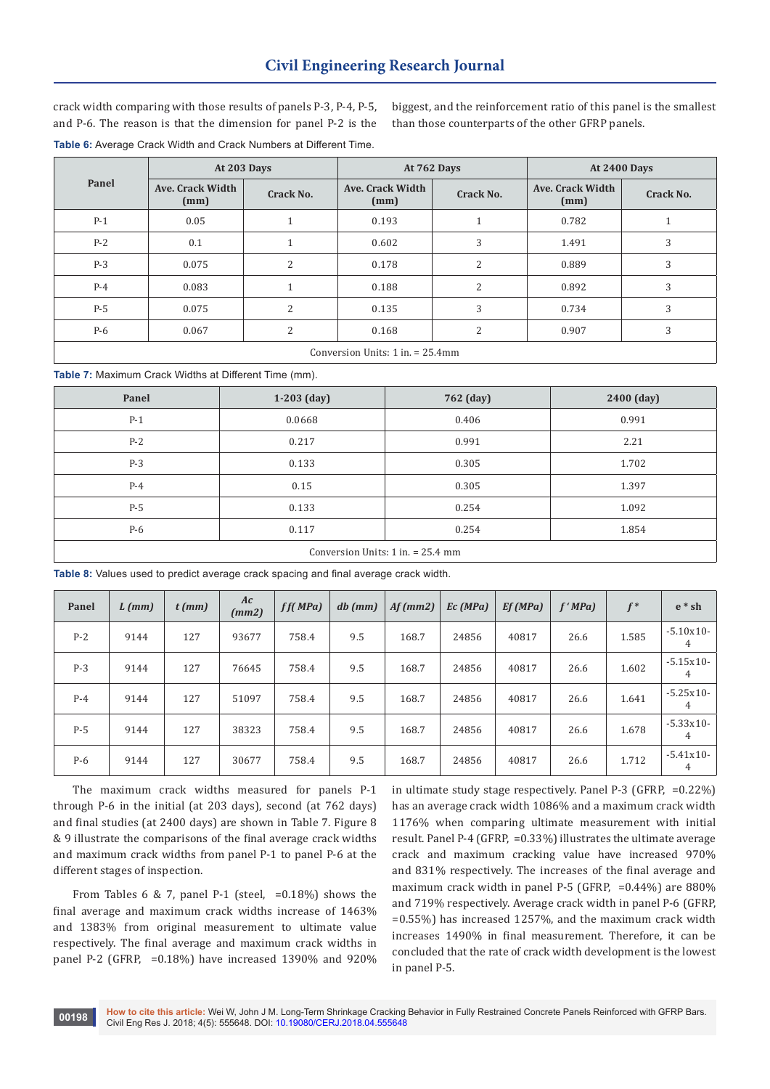crack width comparing with those results of panels P-3, P-4, P-5, and P-6. The reason is that the dimension for panel P-2 is the biggest, and the reinforcement ratio of this panel is the smallest than those counterparts of the other GFRP panels.

**Table 6:** Average Crack Width and Crack Numbers at Different Time.

| Panel                                 | At 203 Days              |                |                          | At 762 Days    | <b>At 2400 Days</b>      |           |  |
|---------------------------------------|--------------------------|----------------|--------------------------|----------------|--------------------------|-----------|--|
|                                       | Ave. Crack Width<br>(mm) | Crack No.      | Ave. Crack Width<br>(mm) | Crack No.      | Ave. Crack Width<br>(mm) | Crack No. |  |
| $P-1$                                 | 0.05                     | 1              | 0.193                    |                | 0.782                    |           |  |
| $P-2$                                 | 0.1                      | 1              | 0.602                    | 3              | 1.491                    | 3         |  |
| $P-3$                                 | 0.075                    | $\overline{2}$ | 0.178                    | 2              | 0.889                    | 3         |  |
| $P-4$                                 | 0.083                    | $\mathbf{1}$   | 0.188                    | $\overline{2}$ | 0.892                    | 3         |  |
| $P-5$                                 | 0.075                    | $\overline{2}$ | 0.135                    | 3              | 0.734                    | 3         |  |
| $P-6$                                 | 0.067                    | 2              | 0.168                    | 2              | 0.907                    | 3         |  |
| Conversion Units: $1$ in. $= 25.4$ mm |                          |                |                          |                |                          |           |  |

**Table 7:** Maximum Crack Widths at Different Time (mm).

| Panel                               | $1-203$ (day) | 762 (day) | 2400 (day) |  |  |
|-------------------------------------|---------------|-----------|------------|--|--|
| $P-1$                               | 0.0668        | 0.406     | 0.991      |  |  |
| $P-2$                               | 0.217         | 0.991     | 2.21       |  |  |
| $P-3$                               | 0.133         | 0.305     | 1.702      |  |  |
| $P-4$                               | 0.15          | 0.305     | 1.397      |  |  |
| $P-5$                               | 0.133         | 0.254     | 1.092      |  |  |
| P-6                                 | 0.117         | 0.254     | 1.854      |  |  |
| Conversion Units: $1$ in. = 25.4 mm |               |           |            |  |  |

**Table 8:** Values used to predict average crack spacing and final average crack width.

| Panel | $L$ (mm) | $t$ (mm) | Ac<br>(mm2) | ff(MPa) | $db$ (mm) | Af(mm2) | Ec(MPa) | Ef(MPa) | f'MPa | $f^*$ | $e * sh$         |
|-------|----------|----------|-------------|---------|-----------|---------|---------|---------|-------|-------|------------------|
| $P-2$ | 9144     | 127      | 93677       | 758.4   | 9.5       | 168.7   | 24856   | 40817   | 26.6  | 1.585 | $-5.10x10-$<br>4 |
| $P-3$ | 9144     | 127      | 76645       | 758.4   | 9.5       | 168.7   | 24856   | 40817   | 26.6  | 1.602 | $-5.15x10-$<br>4 |
| $P-4$ | 9144     | 127      | 51097       | 758.4   | 9.5       | 168.7   | 24856   | 40817   | 26.6  | 1.641 | $-5.25x10-$<br>4 |
| $P-5$ | 9144     | 127      | 38323       | 758.4   | 9.5       | 168.7   | 24856   | 40817   | 26.6  | 1.678 | $-5.33x10-$<br>4 |
| P-6   | 9144     | 127      | 30677       | 758.4   | 9.5       | 168.7   | 24856   | 40817   | 26.6  | 1.712 | $-5.41x10-$<br>4 |

The maximum crack widths measured for panels P-1 through P-6 in the initial (at 203 days), second (at 762 days) and final studies (at 2400 days) are shown in Table 7. Figure 8 & 9 illustrate the comparisons of the final average crack widths and maximum crack widths from panel P-1 to panel P-6 at the different stages of inspection.

From Tables 6 & 7, panel P-1 (steel,  $=0.18\%$ ) shows the final average and maximum crack widths increase of 1463% and 1383% from original measurement to ultimate value respectively. The final average and maximum crack widths in panel P-2 (GFRP, =0.18%) have increased 1390% and 920%

in ultimate study stage respectively. Panel P-3 (GFRP, =0.22%) has an average crack width 1086% and a maximum crack width 1176% when comparing ultimate measurement with initial result. Panel P-4 (GFRP, =0.33%) illustrates the ultimate average crack and maximum cracking value have increased 970% and 831% respectively. The increases of the final average and maximum crack width in panel P-5 (GFRP, =0.44%) are 880% and 719% respectively. Average crack width in panel P-6 (GFRP, =0.55%) has increased 1257%, and the maximum crack width increases 1490% in final measurement. Therefore, it can be concluded that the rate of crack width development is the lowest in panel P-5.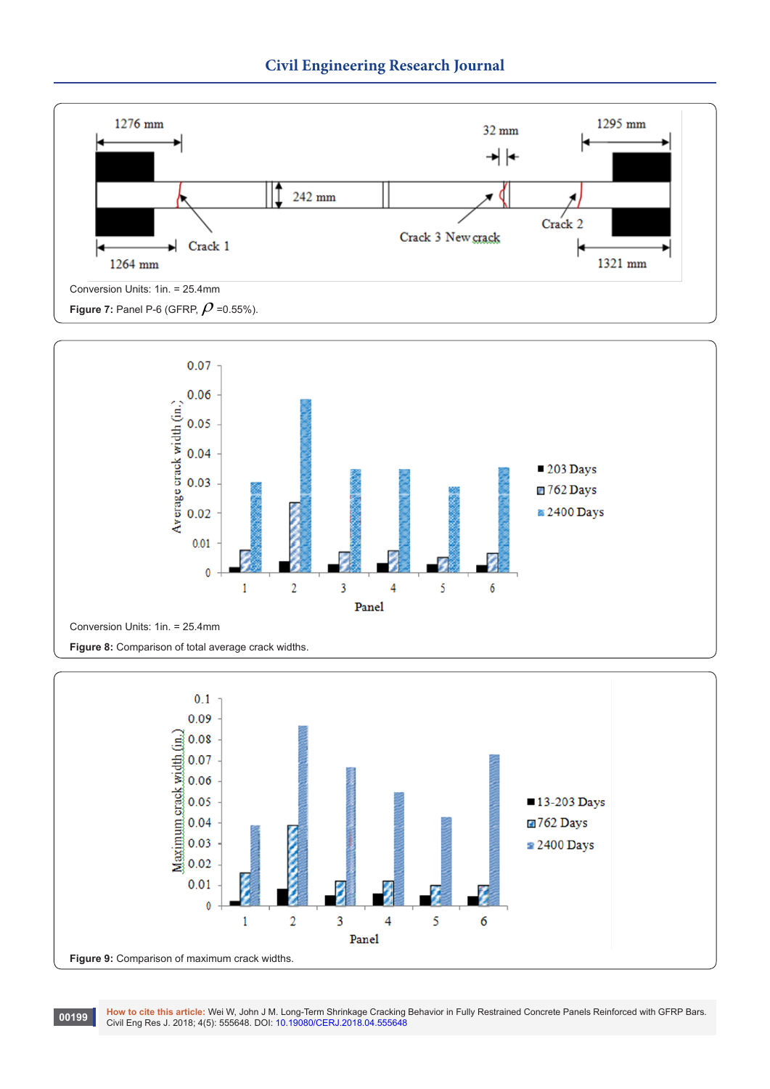





1999 How to cite this article: Wei W, John J M. Long-Term Shrinkage Cracking Behavior in Fully Restrained Concrete Panels Reinforced with GFRP Bars.<br>Civil Eng Res J. 2018; 4(5): 555648. DOI: [10.19080/CERJ.2018.04.55564](http://dx.doi.org/10.19080/CERJ.2018.04.555648)8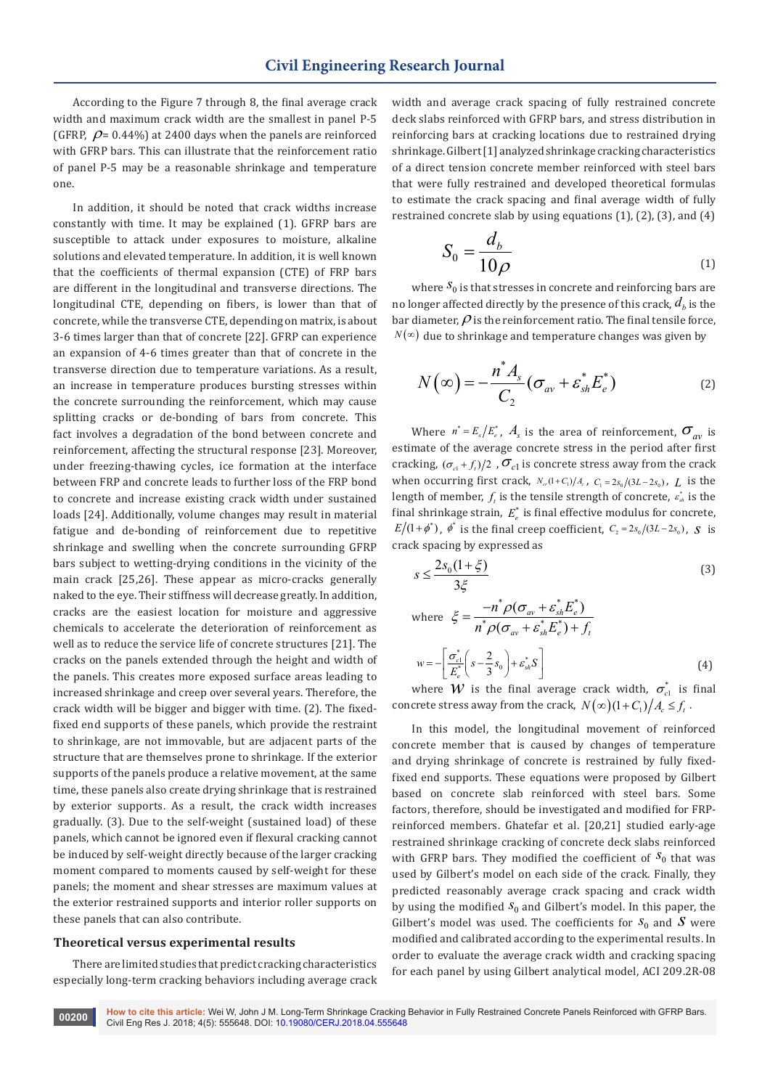According to the Figure 7 through 8, the final average crack width and maximum crack width are the smallest in panel P-5 (GFRP,  $\rho$  = 0.44%) at 2400 days when the panels are reinforced with GFRP bars. This can illustrate that the reinforcement ratio of panel P-5 may be a reasonable shrinkage and temperature one.

In addition, it should be noted that crack widths increase constantly with time. It may be explained (1). GFRP bars are susceptible to attack under exposures to moisture, alkaline solutions and elevated temperature. In addition, it is well known that the coefficients of thermal expansion (CTE) of FRP bars are different in the longitudinal and transverse directions. The longitudinal CTE, depending on fibers, is lower than that of concrete, while the transverse CTE, depending on matrix, is about 3-6 times larger than that of concrete [22]. GFRP can experience an expansion of 4-6 times greater than that of concrete in the transverse direction due to temperature variations. As a result, an increase in temperature produces bursting stresses within the concrete surrounding the reinforcement, which may cause splitting cracks or de-bonding of bars from concrete. This fact involves a degradation of the bond between concrete and reinforcement, affecting the structural response [23]. Moreover, under freezing-thawing cycles, ice formation at the interface between FRP and concrete leads to further loss of the FRP bond to concrete and increase existing crack width under sustained loads [24]. Additionally, volume changes may result in material fatigue and de-bonding of reinforcement due to repetitive shrinkage and swelling when the concrete surrounding GFRP bars subject to wetting-drying conditions in the vicinity of the main crack [25,26]. These appear as micro-cracks generally naked to the eye. Their stiffness will decrease greatly. In addition, cracks are the easiest location for moisture and aggressive chemicals to accelerate the deterioration of reinforcement as well as to reduce the service life of concrete structures [21]. The cracks on the panels extended through the height and width of the panels. This creates more exposed surface areas leading to increased shrinkage and creep over several years. Therefore, the crack width will be bigger and bigger with time. (2). The fixedfixed end supports of these panels, which provide the restraint to shrinkage, are not immovable, but are adjacent parts of the structure that are themselves prone to shrinkage. If the exterior supports of the panels produce a relative movement, at the same time, these panels also create drying shrinkage that is restrained by exterior supports. As a result, the crack width increases gradually. (3). Due to the self-weight (sustained load) of these panels, which cannot be ignored even if flexural cracking cannot be induced by self-weight directly because of the larger cracking moment compared to moments caused by self-weight for these panels; the moment and shear stresses are maximum values at the exterior restrained supports and interior roller supports on these panels that can also contribute.

#### **Theoretical versus experimental results**

There are limited studies that predict cracking characteristics especially long-term cracking behaviors including average crack width and average crack spacing of fully restrained concrete deck slabs reinforced with GFRP bars, and stress distribution in reinforcing bars at cracking locations due to restrained drying shrinkage. Gilbert [1] analyzed shrinkage cracking characteristics of a direct tension concrete member reinforced with steel bars that were fully restrained and developed theoretical formulas to estimate the crack spacing and final average width of fully restrained concrete slab by using equations (1), (2), (3), and (4)

$$
S_0 = \frac{d_b}{10\rho} \tag{1}
$$

where  $S_0$  is that stresses in concrete and reinforcing bars are no longer affected directly by the presence of this crack,  $d<sub>b</sub>$  is the bar diameter,  $\rho$  is the reinforcement ratio. The final tensile force,  $N(\infty)$  due to shrinkage and temperature changes was given by

$$
N(\infty) = -\frac{n^* A_s}{C_2} (\sigma_{av} + \varepsilon_{sh}^* E_e^*)
$$
 (2)

Where  $n^* = E_s/E_e^*$ ,  $A_s$  is the area of reinforcement,  $\sigma_{av}$  is estimate of the average concrete stress in the period after first cracking,  $(\sigma_{c1} + f_t)/2$ ,  $\sigma_{c1}$  is concrete stress away from the crack when occurring first crack,  $N_{\alpha}(1+C_1)/A_c$ ,  $C_1 = 2s_0/(3L-2s_0)$ ,  $L$  is the length of member,  $f_t$  is the tensile strength of concrete,  $\varepsilon_{\scriptscriptstyle sh}^*$  is the final shrinkage strain,  $E_{e}^{*}$  is final effective modulus for concrete,  $E/(1+\phi^*)$ ,  $\phi^*$  is the final creep coefficient,  $C_2 = 2s_0/(3L-2s_0)$ , *S* is crack spacing by expressed as

$$
s \le \frac{2s_0(1+\xi)}{3\xi}
$$
\n
$$
\text{where } \xi = \frac{-n^* \rho(\sigma_{av} + \varepsilon_{sh}^* E_{\varepsilon}^*)}{n^* \rho(\sigma_{av} + \varepsilon_{sh}^* E_{\varepsilon}^*) + f_t}
$$
\n
$$
w = -\left[\frac{\sigma_{\varepsilon l}^*}{E_{\varepsilon}^*} \left(s - \frac{2}{3} s_0\right) + \varepsilon_{sh}^* S\right]
$$
\n
$$
(4)
$$

 $\frac{c1}{c_e^*}$   $\left(s-\frac{2}{3}S_0\right)+\varepsilon_{sh}^*$ where *W* is the final average crack width,  $\sigma_{c1}^*$  is final concrete stress away from the crack,  $N(\infty)(1+C_1)/A_c \leq f_t$ .

In this model, the longitudinal movement of reinforced concrete member that is caused by changes of temperature and drying shrinkage of concrete is restrained by fully fixedfixed end supports. These equations were proposed by Gilbert based on concrete slab reinforced with steel bars. Some factors, therefore, should be investigated and modified for FRPreinforced members. Ghatefar et al. [20,21] studied early-age restrained shrinkage cracking of concrete deck slabs reinforced with GFRP bars. They modified the coefficient of  $S_0$  that was used by Gilbert's model on each side of the crack. Finally, they predicted reasonably average crack spacing and crack width by using the modified  $S_0$  and Gilbert's model. In this paper, the Gilbert's model was used. The coefficients for  $S_0$  and  $S$  were modified and calibrated according to the experimental results. In order to evaluate the average crack width and cracking spacing for each panel by using Gilbert analytical model, ACI 209.2R-08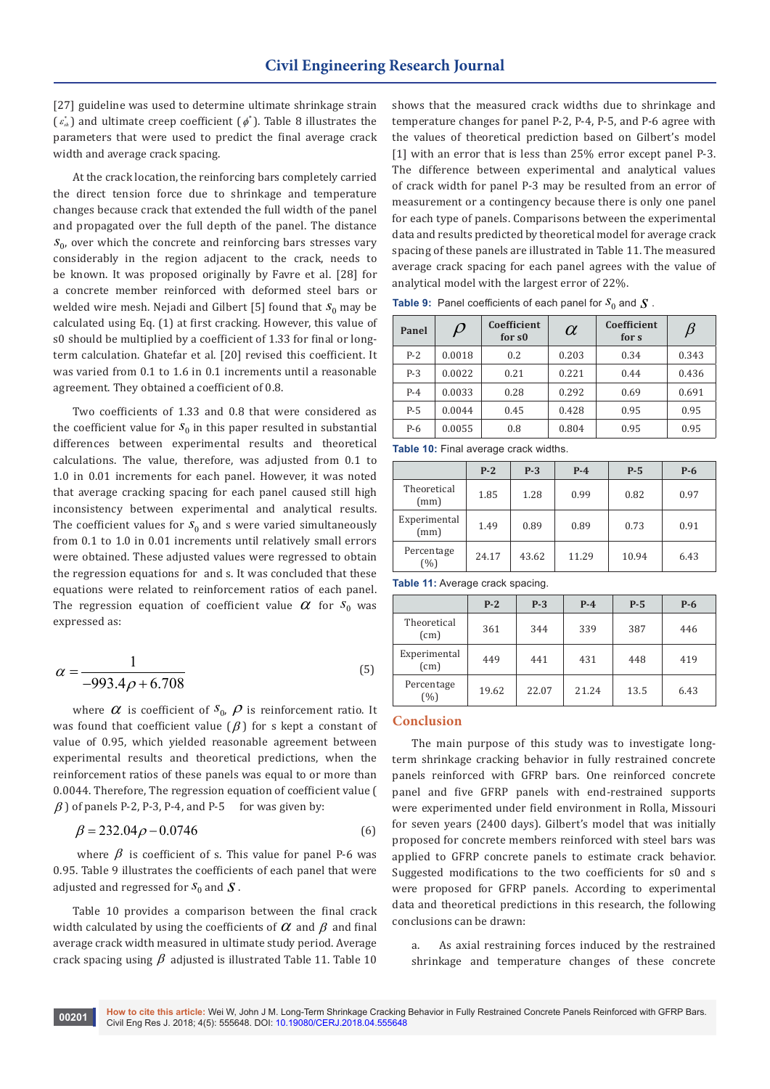[27] guideline was used to determine ultimate shrinkage strain  $(\varepsilon_{sh}^*)$  and ultimate creep coefficient  $(\phi^*)$ . Table 8 illustrates the parameters that were used to predict the final average crack width and average crack spacing.

At the crack location, the reinforcing bars completely carried the direct tension force due to shrinkage and temperature changes because crack that extended the full width of the panel and propagated over the full depth of the panel. The distance  $S_{0}$ , over which the concrete and reinforcing bars stresses vary considerably in the region adjacent to the crack, needs to be known. It was proposed originally by Favre et al. [28] for a concrete member reinforced with deformed steel bars or welded wire mesh. Nejadi and Gilbert [5] found that  $S_0$  may be calculated using Eq. (1) at first cracking. However, this value of s0 should be multiplied by a coefficient of 1.33 for final or longterm calculation. Ghatefar et al. [20] revised this coefficient. It was varied from 0.1 to 1.6 in 0.1 increments until a reasonable agreement. They obtained a coefficient of 0.8.

Two coefficients of 1.33 and 0.8 that were considered as the coefficient value for  $S_0$  in this paper resulted in substantial differences between experimental results and theoretical calculations. The value, therefore, was adjusted from 0.1 to 1.0 in 0.01 increments for each panel. However, it was noted that average cracking spacing for each panel caused still high inconsistency between experimental and analytical results. The coefficient values for  $S_0$  and s were varied simultaneously from 0.1 to 1.0 in 0.01 increments until relatively small errors were obtained. These adjusted values were regressed to obtain the regression equations for and s. It was concluded that these equations were related to reinforcement ratios of each panel. The regression equation of coefficient value  $\alpha$  for  $s_0$  was expressed as:

$$
\alpha = \frac{1}{-993.4\rho + 6.708}
$$
 (5)

where  $\alpha$  is coefficient of  $S_0$ ,  $\rho$  is reinforcement ratio. It was found that coefficient value  $(\beta)$  for s kept a constant of value of 0.95, which yielded reasonable agreement between experimental results and theoretical predictions, when the reinforcement ratios of these panels was equal to or more than 0.0044. Therefore, The regression equation of coefficient value (  $\beta$ ) of panels P-2, P-3, P-4, and P-5 for was given by:

$$
\beta = 232.04 \rho - 0.0746\tag{6}
$$

where  $\beta$  is coefficient of s. This value for panel P-6 was 0.95. Table 9 illustrates the coefficients of each panel that were adjusted and regressed for  $S_0$  and  $\boldsymbol{S}$ .

Table 10 provides a comparison between the final crack width calculated by using the coefficients of  $\alpha$  and  $\beta$  and final average crack width measured in ultimate study period. Average crack spacing using  $\beta$  adjusted is illustrated Table 11. Table 10

shows that the measured crack widths due to shrinkage and temperature changes for panel P-2, P-4, P-5, and P-6 agree with the values of theoretical prediction based on Gilbert's model [1] with an error that is less than 25% error except panel P-3. The difference between experimental and analytical values of crack width for panel P-3 may be resulted from an error of measurement or a contingency because there is only one panel for each type of panels. Comparisons between the experimental data and results predicted by theoretical model for average crack spacing of these panels are illustrated in Table 11. The measured average crack spacing for each panel agrees with the value of analytical model with the largest error of 22%.

| Panel | $\mathcal D$ | <b>Coefficient</b><br>for s <sub>0</sub> | $\alpha$ | Coefficient<br>for s | $\beta$ |
|-------|--------------|------------------------------------------|----------|----------------------|---------|
| $P-2$ | 0.0018       | 0.2                                      | 0.203    | 0.34                 | 0.343   |
| $P-3$ | 0.0022       | 0.21                                     | 0.221    | 0.44                 | 0.436   |
| $P-4$ | 0.0033       | 0.28                                     | 0.292    | 0.69                 | 0.691   |
| $P-5$ | 0.0044       | 0.45                                     | 0.428    | 0.95                 | 0.95    |
| P-6   | 0.0055       | 0.8                                      | 0.804    | 0.95                 | 0.95    |

**Table 10:** Final average crack widths.

|                      | $P-2$ | $P-3$ | $P-4$ | $P-5$ | $P-6$ |
|----------------------|-------|-------|-------|-------|-------|
| Theoretical<br>(mm)  | 1.85  | 1.28  | 0.99  | 0.82  | 0.97  |
| Experimental<br>(mm) | 1.49  | 0.89  | 0.89  | 0.73  | 0.91  |
| Percentage<br>(%)    | 24.17 | 43.62 | 11.29 | 10.94 | 6.43  |

**Table 11:** Average crack spacing.

|                      | $P-2$ | $P-3$ | $P-4$ | $P-5$ | $P-6$ |
|----------------------|-------|-------|-------|-------|-------|
| Theoretical<br>(cm)  | 361   | 344   | 339   | 387   | 446   |
| Experimental<br>(cm) | 449   | 441   | 431   | 448   | 419   |
| Percentage<br>(%)    | 19.62 | 22.07 | 21.24 | 13.5  | 6.43  |

## **Conclusion**

The main purpose of this study was to investigate longterm shrinkage cracking behavior in fully restrained concrete panels reinforced with GFRP bars. One reinforced concrete panel and five GFRP panels with end-restrained supports were experimented under field environment in Rolla, Missouri for seven years (2400 days). Gilbert's model that was initially proposed for concrete members reinforced with steel bars was applied to GFRP concrete panels to estimate crack behavior. Suggested modifications to the two coefficients for s0 and s were proposed for GFRP panels. According to experimental data and theoretical predictions in this research, the following conclusions can be drawn:

a. As axial restraining forces induced by the restrained shrinkage and temperature changes of these concrete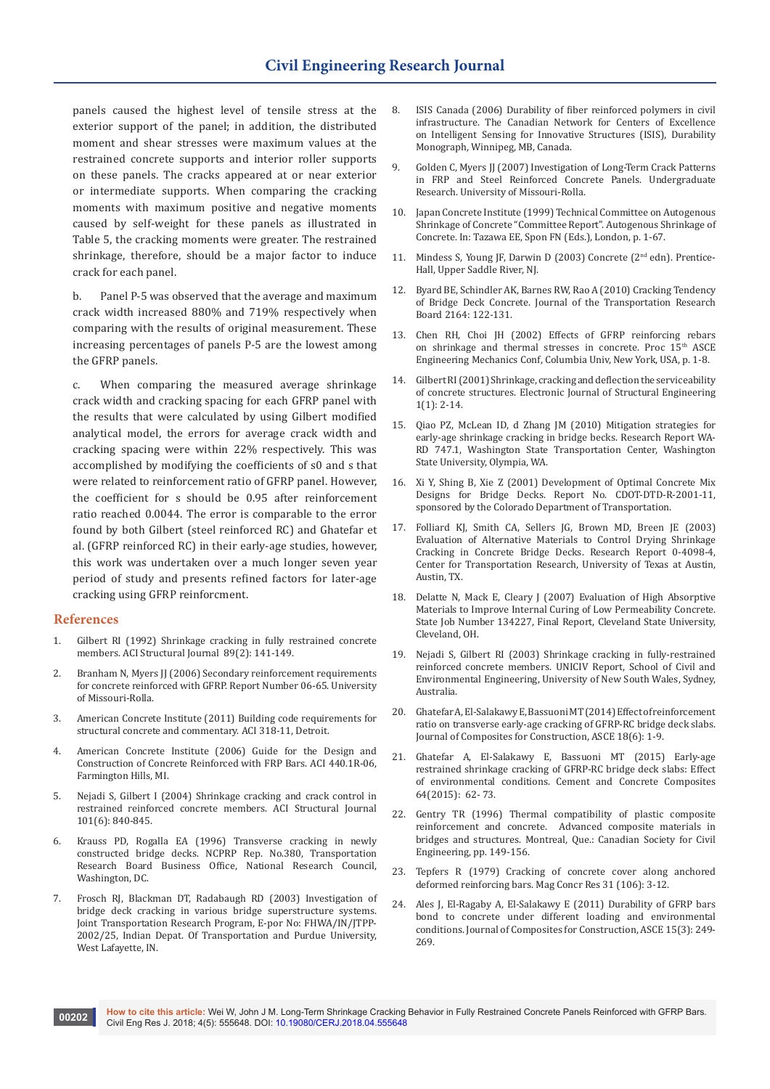panels caused the highest level of tensile stress at the exterior support of the panel; in addition, the distributed moment and shear stresses were maximum values at the restrained concrete supports and interior roller supports on these panels. The cracks appeared at or near exterior or intermediate supports. When comparing the cracking moments with maximum positive and negative moments caused by self-weight for these panels as illustrated in Table 5, the cracking moments were greater. The restrained shrinkage, therefore, should be a major factor to induce crack for each panel.

b. Panel P-5 was observed that the average and maximum crack width increased 880% and 719% respectively when comparing with the results of original measurement. These increasing percentages of panels P-5 are the lowest among the GFRP panels.

c. When comparing the measured average shrinkage crack width and cracking spacing for each GFRP panel with the results that were calculated by using Gilbert modified analytical model, the errors for average crack width and cracking spacing were within 22% respectively. This was accomplished by modifying the coefficients of s0 and s that were related to reinforcement ratio of GFRP panel. However, the coefficient for s should be 0.95 after reinforcement ratio reached 0.0044. The error is comparable to the error found by both Gilbert (steel reinforced RC) and Ghatefar et al. (GFRP reinforced RC) in their early-age studies, however, this work was undertaken over a much longer seven year period of study and presents refined factors for later-age cracking using GFRP reinforcment.

## **References**

- 1. [Gilbert RI \(1992\) Shrinkage cracking in fully restrained concrete](https://www.concrete.org/publications/internationalconcreteabstractsportal/m/details/id/2917)  [members. ACI Structural Journal 89\(2\): 141-149.](https://www.concrete.org/publications/internationalconcreteabstractsportal/m/details/id/2917)
- 2. Branham N, Myers JJ (2006) Secondary reinforcement requirements for concrete reinforced with GFRP. Report Number 06-65. University of Missouri-Rolla.
- 3. [American Concrete Institute \(2011\) Building code requirements for](https://www.concrete.org/store/productdetail.aspx?ItemID=31811&Language=English)  [structural concrete and commentary. ACI 318-11, Detroit.](https://www.concrete.org/store/productdetail.aspx?ItemID=31811&Language=English)
- 4. [American Concrete Institute \(2006\) Guide for the Design and](http://www.radyab.co/content/media/article/13.pdf)  [Construction of Concrete Reinforced with FRP Bars. ACI 440.1R-06,](http://www.radyab.co/content/media/article/13.pdf)  [Farmington Hills, MI](http://www.radyab.co/content/media/article/13.pdf).
- 5. [Nejadi S, Gilbert I \(2004\) Shrinkage cracking and crack control in](https://www.concrete.org/publications/internationalconcreteabstractsportal.aspx?m=details&ID=13459)  [restrained reinforced concrete members. ACI Structural Journal](https://www.concrete.org/publications/internationalconcreteabstractsportal.aspx?m=details&ID=13459)  [101\(6\): 840-845](https://www.concrete.org/publications/internationalconcreteabstractsportal.aspx?m=details&ID=13459).
- 6. [Krauss PD, Rogalla EA \(1996\) Transverse cracking in newly](https://trid.trb.org/view/465196)  [constructed bridge decks. NCPRP Rep. No.380, Transportation](https://trid.trb.org/view/465196)  [Research Board Business Office, National Research Council,](https://trid.trb.org/view/465196)  [Washington, DC.](https://trid.trb.org/view/465196)
- 7. [Frosch RJ, Blackman DT, Radabaugh RD \(2003\) Investigation of](https://docs.lib.purdue.edu/jtrp/134/)  [bridge deck cracking in various bridge superstructure systems.](https://docs.lib.purdue.edu/jtrp/134/)  [Joint Transportation Research Program, E-por No: FHWA/IN/JTPP-](https://docs.lib.purdue.edu/jtrp/134/)[2002/25, Indian Depat. Of Transportation and Purdue University,](https://docs.lib.purdue.edu/jtrp/134/)  [West Lafayette, IN.](https://docs.lib.purdue.edu/jtrp/134/)
- 8. ISIS Canada (2006) Durability of fiber reinforced polymers in civil infrastructure. The Canadian Network for Centers of Excellence on Intelligent Sensing for Innovative Structures (ISIS), Durability Monograph, Winnipeg, MB, Canada.
- 9. Golden C, Myers JJ (2007) Investigation of Long-Term Crack Patterns in FRP and Steel Reinforced Concrete Panels. Undergraduate Research. University of Missouri-Rolla.
- 10. Japan Concrete Institute (1999) Technical Committee on Autogenous Shrinkage of Concrete "Committee Report". Autogenous Shrinkage of Concrete. In: Tazawa EE, Spon FN (Eds.), London, p. 1-67.
- 11. Mindess S, Young JF, Darwin D (2003) Concrete (2<sup>nd</sup> edn). Prentice-[Hall, Upper Saddle River, NJ](https://www.svf.stuba.sk/buxus/docs/sjce/2008/2008_4/file6.pdf).
- 12. [Byard BE, Schindler AK, Barnes RW, Rao A \(2010\) Cracking Tendency](https://trrjournalonline.trb.org/doi/abs/10.3141/2164-16)  [of Bridge Deck Concrete. Journal of the Transportation Research](https://trrjournalonline.trb.org/doi/abs/10.3141/2164-16)  [Board 2164: 122-131.](https://trrjournalonline.trb.org/doi/abs/10.3141/2164-16)
- 13. Chen RH, Choi JH (2002) Effects of GFRP reinforcing rebars on shrinkage and thermal stresses in concrete. Proc 15<sup>th</sup> ASCE Engineering Mechanics Conf, Columbia Univ, New York, USA, p. 1-8.
- 14. [Gilbert RI \(2001\) Shrinkage, cracking and deflection the serviceability](http://www.ejse.org/Archives/Fulltext/200101/02/20010102.htm)  [of concrete structures. Electronic Journal of Structural Engineering](http://www.ejse.org/Archives/Fulltext/200101/02/20010102.htm)  [1\(1\): 2-14.](http://www.ejse.org/Archives/Fulltext/200101/02/20010102.htm)
- 15. [Qiao PZ, McLean ID, d Zhang JM \(2010\) Mitigation strategies for](https://www.wsdot.wa.gov/Research/Reports/700/747.1.htm)  [early-age shrinkage cracking in bridge becks. Research Report WA-](https://www.wsdot.wa.gov/Research/Reports/700/747.1.htm)[RD 747.1, Washington State Transportation Center, Washington](https://www.wsdot.wa.gov/Research/Reports/700/747.1.htm)  [State University, Olympia, WA](https://www.wsdot.wa.gov/Research/Reports/700/747.1.htm).
- 16. [Xi Y, Shing B, Xie Z \(2001\) Development of Optimal Concrete Mix](https://www.codot.gov/programs/research/pdfs/2001/bridgedeckmix.pdf)  [Designs for Bridge Decks. Report No. CDOT-DTD-R-2001-11,](https://www.codot.gov/programs/research/pdfs/2001/bridgedeckmix.pdf)  [sponsored by the Colorado Department of Transportation.](https://www.codot.gov/programs/research/pdfs/2001/bridgedeckmix.pdf)
- 17. [Folliard KJ, Smith CA, Sellers JG, Brown MD, Breen JE \(2003\)](http://ctr.utexas.edu/wp-content/uploads/pubs/0_4098_4.pdf)  [Evaluation of Alternative Materials to Control Drying Shrinkage](http://ctr.utexas.edu/wp-content/uploads/pubs/0_4098_4.pdf)  [Cracking in Concrete Bridge Decks. Research Report 0-4098-4,](http://ctr.utexas.edu/wp-content/uploads/pubs/0_4098_4.pdf)  [Center for Transportation Research, University of Texas at Austin,](http://ctr.utexas.edu/wp-content/uploads/pubs/0_4098_4.pdf)  [Austin, TX](http://ctr.utexas.edu/wp-content/uploads/pubs/0_4098_4.pdf).
- 18. [Delatte N, Mack E, Cleary J \(2007\) Evaluation of High Absorptive](https://www.dot.state.oh.us/Divisions/Planning/SPR/Research/reportsandplans/Reports/2007/Materials/134227-FR.pdf)  [Materials to Improve Internal Curing of Low Permeability Concrete.](https://www.dot.state.oh.us/Divisions/Planning/SPR/Research/reportsandplans/Reports/2007/Materials/134227-FR.pdf)  [State Job Number 134227, Final Report, Cleveland State University,](https://www.dot.state.oh.us/Divisions/Planning/SPR/Research/reportsandplans/Reports/2007/Materials/134227-FR.pdf)  [Cleveland, OH](https://www.dot.state.oh.us/Divisions/Planning/SPR/Research/reportsandplans/Reports/2007/Materials/134227-FR.pdf).
- 19. Nejadi S, Gilbert RI (2003) Shrinkage cracking in fully-restrained reinforced concrete members. UNICIV Report, School of Civil and Environmental Engineering, University of New South Wales, Sydney, Australia.
- 20. [Ghatefar A, El-Salakawy E, Bassuoni MT \(2014\) Effect of reinforcement](https://ascelibrary.org/doi/10.1061/%28ASCE%29CC.1943-5614.0000479)  [ratio on transverse early-age cracking of GFRP-RC bridge deck slabs.](https://ascelibrary.org/doi/10.1061/%28ASCE%29CC.1943-5614.0000479)  [Journal of Composites for Construction, ASCE 18\(6\): 1-9](https://ascelibrary.org/doi/10.1061/%28ASCE%29CC.1943-5614.0000479).
- 21. [Ghatefar A, El-Salakawy E, Bassuoni MT \(2015\) Early-age](https://www.sciencedirect.com/science/article/pii/S0958946515300123)  [restrained shrinkage cracking of GFRP-RC bridge deck slabs: Effect](https://www.sciencedirect.com/science/article/pii/S0958946515300123)  [of environmental conditions. Cement and Concrete Composites](https://www.sciencedirect.com/science/article/pii/S0958946515300123)  [64\(2015\): 62- 73.](https://www.sciencedirect.com/science/article/pii/S0958946515300123)
- 22. Gentry TR (1996) Thermal compatibility of plastic composite reinforcement and concrete. Advanced composite materials in bridges and structures. Montreal, Que.: Canadian Society for Civil Engineering, pp. 149-156.
- 23. [Tepfers R \(1979\) Cracking of concrete cover along anchored](https://www.icevirtuallibrary.com/doi/10.1680/macr.1979.31.106.3)  [deformed reinforcing bars. Mag Concr Res 31 \(106\): 3-12](https://www.icevirtuallibrary.com/doi/10.1680/macr.1979.31.106.3).
- 24. [Ales J, El-Ragaby A, El-Salakawy E \(2011\) Durability of GFRP bars](https://ascelibrary.org/doi/10.1061/%28ASCE%29CC.1943-5614.0000161)  [bond to concrete under different loading and environmental](https://ascelibrary.org/doi/10.1061/%28ASCE%29CC.1943-5614.0000161)  [conditions. Journal of Composites for Construction, ASCE 15\(3\): 249-](https://ascelibrary.org/doi/10.1061/%28ASCE%29CC.1943-5614.0000161) [269.](https://ascelibrary.org/doi/10.1061/%28ASCE%29CC.1943-5614.0000161)